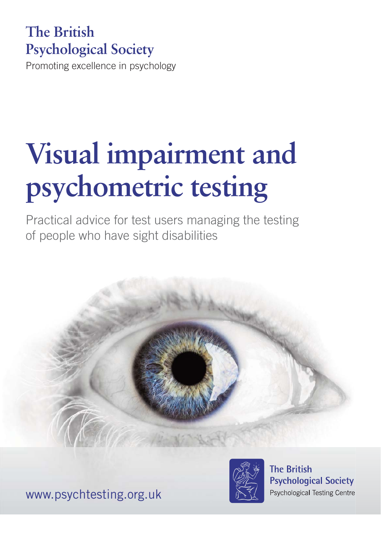# **The British Psychological Society**

Promoting excellence in psychology

# **Visual impairment and psychometric testing**

Practical advice for test users managing the testing of people who have sight disabilities







**The British Psychological Society** Psychological Testing Centre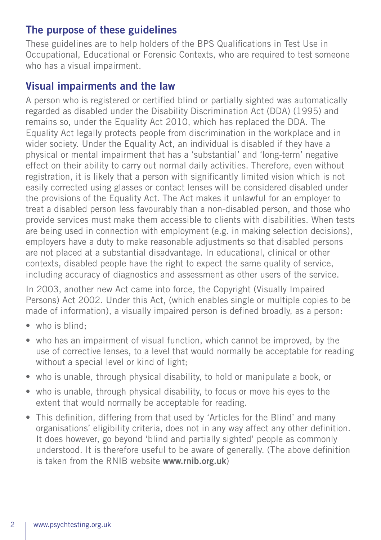#### **The purpose of these guidelines**

These guidelines are to help holders of the BPS Qualifications in Test Use in Occupational, Educational or Forensic Contexts, who are required to test someone who has a visual impairment.

## **Visual impairments and the law**

A person who is registered or certified blind or partially sighted was automatically regarded as disabled under the Disability Discrimination Act (DDA) (1995) and remains so, under the Equality Act 2010, which has replaced the DDA. The Equality Act legally protects people from discrimination in the workplace and in wider society. Under the Equality Act, an individual is disabled if they have a physical or mental impairment that has a 'substantial' and 'long-term' negative effect on their ability to carry out normal daily activities. Therefore, even without registration, it is likely that a person with significantly limited vision which is not easily corrected using glasses or contact lenses will be considered disabled under the provisions of the Equality Act. The Act makes it unlawful for an employer to treat a disabled person less favourably than a non-disabled person, and those who provide services must make them accessible to clients with disabilities. When tests are being used in connection with employment (e.g. in making selection decisions), employers have a duty to make reasonable adjustments so that disabled persons are not placed at a substantial disadvantage. In educational, clinical or other contexts, disabled people have the right to expect the same quality of service, including accuracy of diagnostics and assessment as other users of the service.

In 2003, another new Act came into force, the Copyright (Visually Impaired Persons) Act 2002. Under this Act, (which enables single or multiple copies to be made of information), a visually impaired person is defined broadly, as a person:

- who is blind:
- who has an impairment of visual function, which cannot be improved, by the use of corrective lenses, to a level that would normally be acceptable for reading without a special level or kind of light:
- who is unable, through physical disability, to hold or manipulate a book, or
- who is unable, through physical disability, to focus or move his eyes to the extent that would normally be acceptable for reading.
- This definition, differing from that used by 'Articles for the Blind' and many organisations' eligibility criteria, does not in any way affect any other definition. It does however, go beyond 'blind and partially sighted' people as commonly understood. It is therefore useful to be aware of generally. (The above definition is taken from the RNIB website **www.rnib.org.uk**)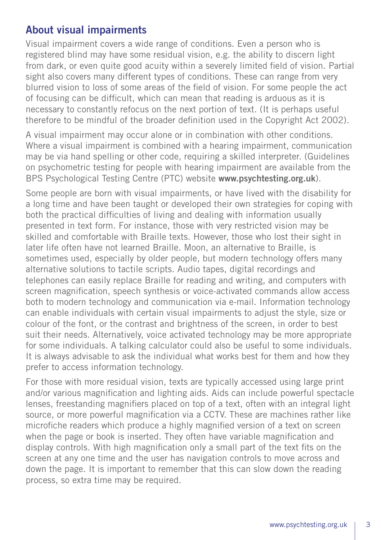## **About visual impairments**

Visual impairment covers a wide range of conditions. Even a person who is registered blind may have some residual vision, e.g. the ability to discern light from dark, or even quite good acuity within a severely limited field of vision. Partial sight also covers many different types of conditions. These can range from very blurred vision to loss of some areas of the field of vision. For some people the act of focusing can be difficult, which can mean that reading is arduous as it is necessary to constantly refocus on the next portion of text. (It is perhaps useful therefore to be mindful of the broader definition used in the Copyright Act 2002).

A visual impairment may occur alone or in combination with other conditions. Where a visual impairment is combined with a hearing impairment, communication may be via hand spelling or other code, requiring a skilled interpreter. (Guidelines on psychometric testing for people with hearing impairment are available from the BPS Psychological Testing Centre (PTC) website **www.psychtesting.org.uk**).

Some people are born with visual impairments, or have lived with the disability for a long time and have been taught or developed their own strategies for coping with both the practical difficulties of living and dealing with information usually presented in text form. For instance, those with very restricted vision may be skilled and comfortable with Braille texts. However, those who lost their sight in later life often have not learned Braille. Moon, an alternative to Braille, is sometimes used, especially by older people, but modern technology offers many alternative solutions to tactile scripts. Audio tapes, digital recordings and telephones can easily replace Braille for reading and writing, and computers with screen magnification, speech synthesis or voice-activated commands allow access both to modern technology and communication via e-mail. Information technology can enable individuals with certain visual impairments to adjust the style, size or colour of the font, or the contrast and brightness of the screen, in order to best suit their needs. Alternatively, voice activated technology may be more appropriate for some individuals. A talking calculator could also be useful to some individuals. It is always advisable to ask the individual what works best for them and how they prefer to access information technology.

For those with more residual vision, texts are typically accessed using large print and/or various magnification and lighting aids. Aids can include powerful spectacle lenses, freestanding magnifiers placed on top of a text, often with an integral light source, or more powerful magnification via a CCTV. These are machines rather like microfiche readers which produce a highly magnified version of a text on screen when the page or book is inserted. They often have variable magnification and display controls. With high magnification only a small part of the text fits on the screen at any one time and the user has navigation controls to move across and down the page. It is important to remember that this can slow down the reading process, so extra time may be required.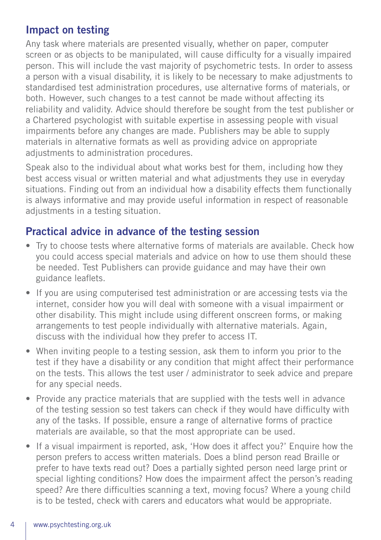## **Impact on testing**

Any task where materials are presented visually, whether on paper, computer screen or as objects to be manipulated, will cause difficulty for a visually impaired person. This will include the vast majority of psychometric tests. In order to assess a person with a visual disability, it is likely to be necessary to make adjustments to standardised test administration procedures, use alternative forms of materials, or both. However, such changes to a test cannot be made without affecting its reliability and validity. Advice should therefore be sought from the test publisher or a Chartered psychologist with suitable expertise in assessing people with visual impairments before any changes are made. Publishers may be able to supply materials in alternative formats as well as providing advice on appropriate adjustments to administration procedures.

Speak also to the individual about what works best for them, including how they best access visual or written material and what adjustments they use in everyday situations. Finding out from an individual how a disability effects them functionally is always informative and may provide useful information in respect of reasonable adjustments in a testing situation.

# **Practical advice in advance of the testing session**

- Try to choose tests where alternative forms of materials are available. Check how you could access special materials and advice on how to use them should these be needed. Test Publishers can provide guidance and may have their own guidance leaflets.
- If you are using computerised test administration or are accessing tests via the internet, consider how you will deal with someone with a visual impairment or other disability. This might include using different onscreen forms, or making arrangements to test people individually with alternative materials. Again, discuss with the individual how they prefer to access IT.
- When inviting people to a testing session, ask them to inform you prior to the test if they have a disability or any condition that might affect their performance on the tests. This allows the test user / administrator to seek advice and prepare for any special needs.
- Provide any practice materials that are supplied with the tests well in advance of the testing session so test takers can check if they would have difficulty with any of the tasks. If possible, ensure a range of alternative forms of practice materials are available, so that the most appropriate can be used.
- If a visual impairment is reported, ask, 'How does it affect you?' Enquire how the person prefers to access written materials. Does a blind person read Braille or prefer to have texts read out? Does a partially sighted person need large print or special lighting conditions? How does the impairment affect the person's reading speed? Are there difficulties scanning a text, moving focus? Where a young child is to be tested, check with carers and educators what would be appropriate.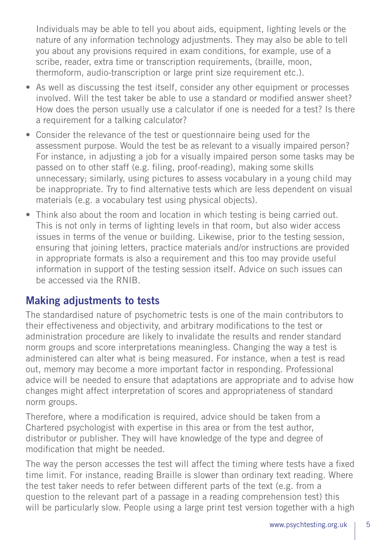Individuals may be able to tell you about aids, equipment, lighting levels or the nature of any information technology adjustments. They may also be able to tell you about any provisions required in exam conditions, for example, use of a scribe, reader, extra time or transcription requirements, (braille, moon, thermoform, audio-transcription or large print size requirement etc.).

- As well as discussing the test itself, consider any other equipment or processes involved. Will the test taker be able to use a standard or modified answer sheet? How does the person usually use a calculator if one is needed for a test? Is there a requirement for a talking calculator?
- Consider the relevance of the test or questionnaire being used for the assessment purpose. Would the test be as relevant to a visually impaired person? For instance, in adjusting a job for a visually impaired person some tasks may be passed on to other staff (e.g. filing, proof-reading), making some skills unnecessary; similarly, using pictures to assess vocabulary in a young child may be inappropriate. Try to find alternative tests which are less dependent on visual materials (e.g. a vocabulary test using physical objects).
- Think also about the room and location in which testing is being carried out. This is not only in terms of lighting levels in that room, but also wider access issues in terms of the venue or building. Likewise, prior to the testing session, ensuring that joining letters, practice materials and/or instructions are provided in appropriate formats is also a requirement and this too may provide useful information in support of the testing session itself. Advice on such issues can be accessed via the RNIB.

#### **Making adjustments to tests**

The standardised nature of psychometric tests is one of the main contributors to their effectiveness and objectivity, and arbitrary modifications to the test or administration procedure are likely to invalidate the results and render standard norm groups and score interpretations meaningless. Changing the way a test is administered can alter what is being measured. For instance, when a test is read out, memory may become a more important factor in responding. Professional advice will be needed to ensure that adaptations are appropriate and to advise how changes might affect interpretation of scores and appropriateness of standard norm groups.

Therefore, where a modification is required, advice should be taken from a Chartered psychologist with expertise in this area or from the test author, distributor or publisher. They will have knowledge of the type and degree of modification that might be needed.

The way the person accesses the test will affect the timing where tests have a fixed time limit. For instance, reading Braille is slower than ordinary text reading. Where the test taker needs to refer between different parts of the text (e.g. from a question to the relevant part of a passage in a reading comprehension test) this will be particularly slow. People using a large print test version together with a high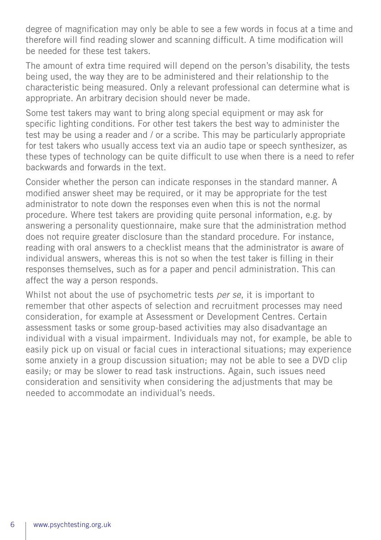degree of magnification may only be able to see a few words in focus at a time and therefore will find reading slower and scanning difficult. A time modification will be needed for these test takers.

The amount of extra time required will depend on the person's disability, the tests being used, the way they are to be administered and their relationship to the characteristic being measured. Only a relevant professional can determine what is appropriate. An arbitrary decision should never be made.

Some test takers may want to bring along special equipment or may ask for specific lighting conditions. For other test takers the best way to administer the test may be using a reader and / or a scribe. This may be particularly appropriate for test takers who usually access text via an audio tape or speech synthesizer, as these types of technology can be quite difficult to use when there is a need to refer backwards and forwards in the text.

Consider whether the person can indicate responses in the standard manner. A modified answer sheet may be required, or it may be appropriate for the test administrator to note down the responses even when this is not the normal procedure. Where test takers are providing quite personal information, e.g. by answering a personality questionnaire, make sure that the administration method does not require greater disclosure than the standard procedure. For instance, reading with oral answers to a checklist means that the administrator is aware of individual answers, whereas this is not so when the test taker is filling in their responses themselves, such as for a paper and pencil administration. This can affect the way a person responds.

Whilst not about the use of psychometric tests *per se*, it is important to remember that other aspects of selection and recruitment processes may need consideration, for example at Assessment or Development Centres. Certain assessment tasks or some group-based activities may also disadvantage an individual with a visual impairment. Individuals may not, for example, be able to easily pick up on visual or facial cues in interactional situations; may experience some anxiety in a group discussion situation; may not be able to see a DVD clip easily; or may be slower to read task instructions. Again, such issues need consideration and sensitivity when considering the adjustments that may be needed to accommodate an individual's needs.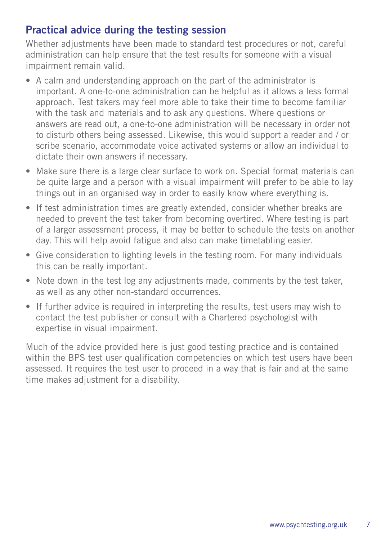## **Practical advice during the testing session**

Whether adjustments have been made to standard test procedures or not, careful administration can help ensure that the test results for someone with a visual impairment remain valid.

- A calm and understanding approach on the part of the administrator is important. A one-to-one administration can be helpful as it allows a less formal approach. Test takers may feel more able to take their time to become familiar with the task and materials and to ask any questions. Where questions or answers are read out, a one-to-one administration will be necessary in order not to disturb others being assessed. Likewise, this would support a reader and / or scribe scenario, accommodate voice activated systems or allow an individual to dictate their own answers if necessary.
- Make sure there is a large clear surface to work on. Special format materials can be quite large and a person with a visual impairment will prefer to be able to lay things out in an organised way in order to easily know where everything is.
- If test administration times are greatly extended, consider whether breaks are needed to prevent the test taker from becoming overtired. Where testing is part of a larger assessment process, it may be better to schedule the tests on another day. This will help avoid fatigue and also can make timetabling easier.
- Give consideration to lighting levels in the testing room. For many individuals this can be really important.
- Note down in the test log any adjustments made, comments by the test taker, as well as any other non-standard occurrences.
- If further advice is required in interpreting the results, test users may wish to contact the test publisher or consult with a Chartered psychologist with expertise in visual impairment.

Much of the advice provided here is just good testing practice and is contained within the BPS test user qualification competencies on which test users have been assessed. It requires the test user to proceed in a way that is fair and at the same time makes adjustment for a disability.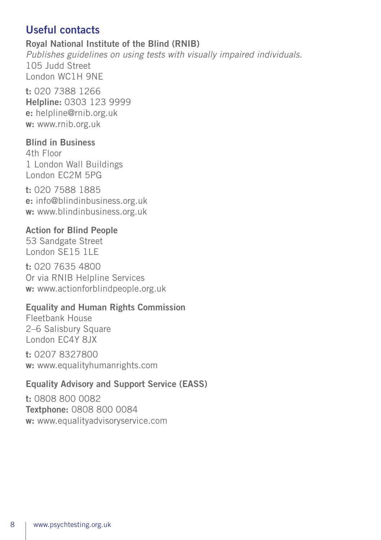## **Useful contacts**

#### **Royal National Institute of the Blind (RNIB)**

*Publishes guidelines on using tests with visually impaired individuals.* 105 Judd Street London WC1H 9NE

**t:** 020 7388 1266 **Helpline:** 0303 123 9999 **e:** helpline@rnib.org.uk **w:** www.rnib.org.uk

#### **Blind in Business**

4th Floor 1 London Wall Buildings London EC2M 5PG

**t:** 020 7588 1885 **e:** info@blindinbusiness.org.uk **w:** www.blindinbusiness.org.uk

#### **Action for Blind People**

53 Sandgate Street London SE15 1LE

**t:** 020 7635 4800 Or via RNIB Helpline Services **w:** www.actionforblindpeople.org.uk

#### **Equality and Human Rights Commission**

Fleetbank House 2–6 Salisbury Square London EC4Y 8JX

**t:** 0207 8327800 **w:** www.equalityhumanrights.com

#### **Equality Advisory and Support Service (EASS)**

**t:** 0808 800 0082 **Textphone:** 0808 800 0084 **w:** www.equalityadvisoryservice.com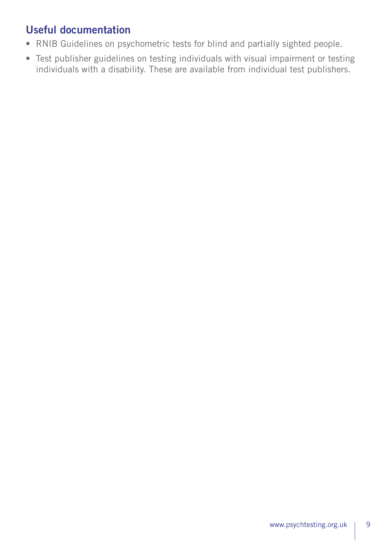# **Useful documentation**

- RNIB Guidelines on psychometric tests for blind and partially sighted people.
- Test publisher guidelines on testing individuals with visual impairment or testing individuals with a disability. These are available from individual test publishers.